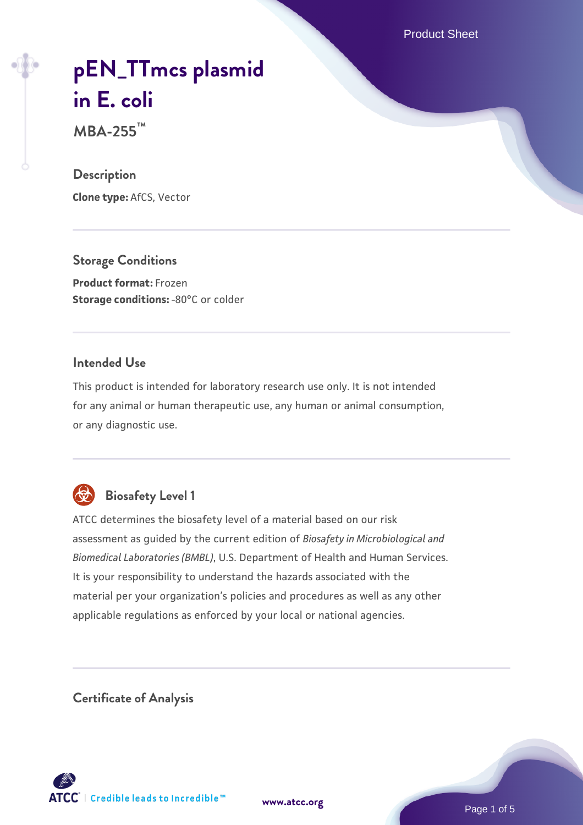Product Sheet

# **[pEN\\_TTmcs plasmid](https://www.atcc.org/products/mba-255) [in E. coli](https://www.atcc.org/products/mba-255)**

**MBA-255™**

#### **Description**

**Clone type:** AfCS, Vector

**Storage Conditions Product format:** Frozen **Storage conditions: -80°C or colder** 

#### **Intended Use**

This product is intended for laboratory research use only. It is not intended for any animal or human therapeutic use, any human or animal consumption, or any diagnostic use.

![](_page_0_Picture_8.jpeg)

# **Biosafety Level 1**

ATCC determines the biosafety level of a material based on our risk assessment as guided by the current edition of *Biosafety in Microbiological and Biomedical Laboratories (BMBL)*, U.S. Department of Health and Human Services. It is your responsibility to understand the hazards associated with the material per your organization's policies and procedures as well as any other applicable regulations as enforced by your local or national agencies.

**Certificate of Analysis**

![](_page_0_Picture_12.jpeg)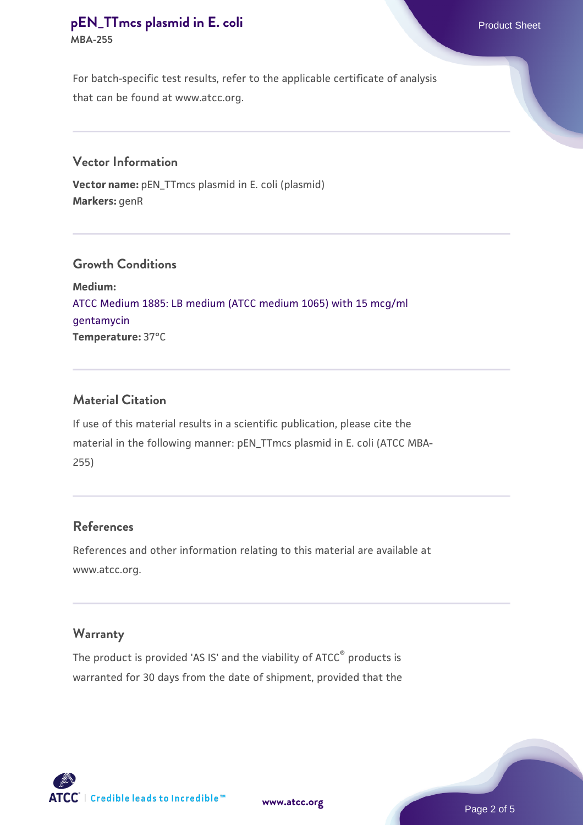# **[pEN\\_TTmcs plasmid in E. coli](https://www.atcc.org/products/mba-255)** Product Sheet **MBA-255**

For batch-specific test results, refer to the applicable certificate of analysis that can be found at www.atcc.org.

#### **Vector Information**

**Vector name:** pEN\_TTmcs plasmid in E. coli (plasmid) **Markers:** genR

# **Growth Conditions**

**Medium:**  [ATCC Medium 1885: LB medium \(ATCC medium 1065\) with 15 mcg/ml](https://www.atcc.org/-/media/product-assets/documents/microbial-media-formulations/atcc-medium-1885.pdf?rev=3e0a9d3b324645d9b22b6d45d67bc39e) [gentamycin](https://www.atcc.org/-/media/product-assets/documents/microbial-media-formulations/atcc-medium-1885.pdf?rev=3e0a9d3b324645d9b22b6d45d67bc39e) **Temperature:** 37°C

# **Material Citation**

If use of this material results in a scientific publication, please cite the material in the following manner: pEN\_TTmcs plasmid in E. coli (ATCC MBA-255)

#### **References**

References and other information relating to this material are available at www.atcc.org.

#### **Warranty**

The product is provided 'AS IS' and the viability of ATCC® products is warranted for 30 days from the date of shipment, provided that the

![](_page_1_Picture_12.jpeg)

![](_page_1_Picture_13.jpeg)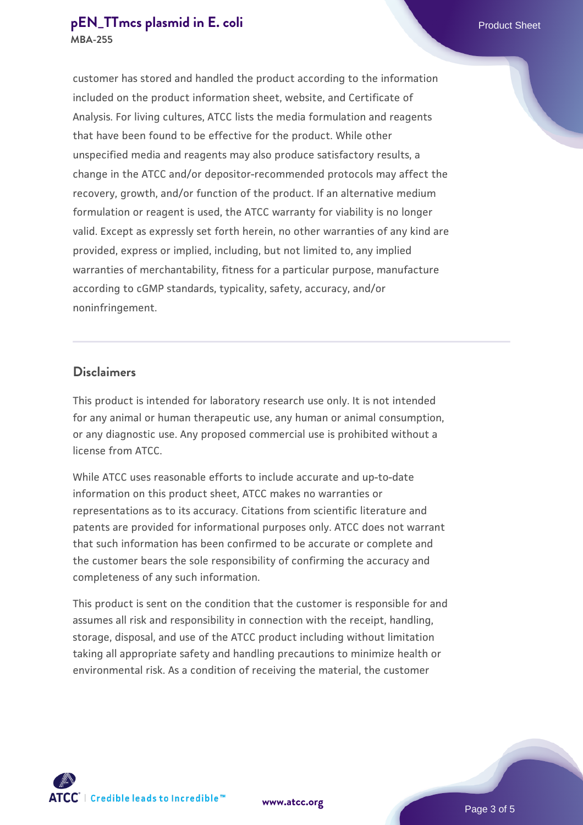#### **[pEN\\_TTmcs plasmid in E. coli](https://www.atcc.org/products/mba-255) Product Sheet MBA-255**

customer has stored and handled the product according to the information included on the product information sheet, website, and Certificate of Analysis. For living cultures, ATCC lists the media formulation and reagents that have been found to be effective for the product. While other unspecified media and reagents may also produce satisfactory results, a change in the ATCC and/or depositor-recommended protocols may affect the recovery, growth, and/or function of the product. If an alternative medium formulation or reagent is used, the ATCC warranty for viability is no longer valid. Except as expressly set forth herein, no other warranties of any kind are provided, express or implied, including, but not limited to, any implied warranties of merchantability, fitness for a particular purpose, manufacture according to cGMP standards, typicality, safety, accuracy, and/or noninfringement.

#### **Disclaimers**

This product is intended for laboratory research use only. It is not intended for any animal or human therapeutic use, any human or animal consumption, or any diagnostic use. Any proposed commercial use is prohibited without a license from ATCC.

While ATCC uses reasonable efforts to include accurate and up-to-date information on this product sheet, ATCC makes no warranties or representations as to its accuracy. Citations from scientific literature and patents are provided for informational purposes only. ATCC does not warrant that such information has been confirmed to be accurate or complete and the customer bears the sole responsibility of confirming the accuracy and completeness of any such information.

This product is sent on the condition that the customer is responsible for and assumes all risk and responsibility in connection with the receipt, handling, storage, disposal, and use of the ATCC product including without limitation taking all appropriate safety and handling precautions to minimize health or environmental risk. As a condition of receiving the material, the customer

**[www.atcc.org](http://www.atcc.org)**

![](_page_2_Picture_6.jpeg)

![](_page_2_Picture_7.jpeg)

Page 3 of 5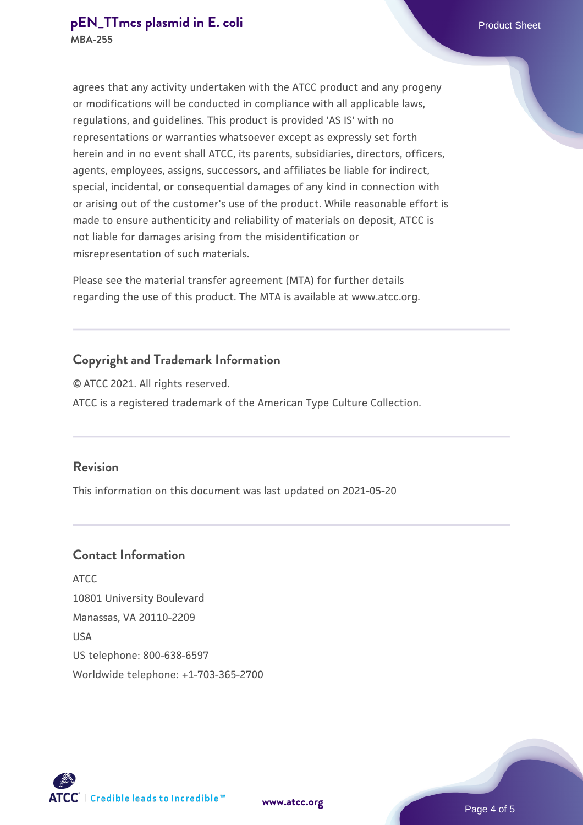agrees that any activity undertaken with the ATCC product and any progeny or modifications will be conducted in compliance with all applicable laws, regulations, and guidelines. This product is provided 'AS IS' with no representations or warranties whatsoever except as expressly set forth herein and in no event shall ATCC, its parents, subsidiaries, directors, officers, agents, employees, assigns, successors, and affiliates be liable for indirect, special, incidental, or consequential damages of any kind in connection with or arising out of the customer's use of the product. While reasonable effort is made to ensure authenticity and reliability of materials on deposit, ATCC is not liable for damages arising from the misidentification or misrepresentation of such materials.

Please see the material transfer agreement (MTA) for further details regarding the use of this product. The MTA is available at www.atcc.org.

# **Copyright and Trademark Information**

© ATCC 2021. All rights reserved. ATCC is a registered trademark of the American Type Culture Collection.

#### **Revision**

This information on this document was last updated on 2021-05-20

# **Contact Information**

ATCC 10801 University Boulevard Manassas, VA 20110-2209 USA US telephone: 800-638-6597 Worldwide telephone: +1-703-365-2700

![](_page_3_Picture_10.jpeg)